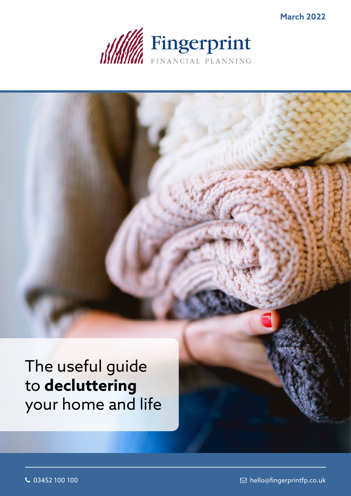

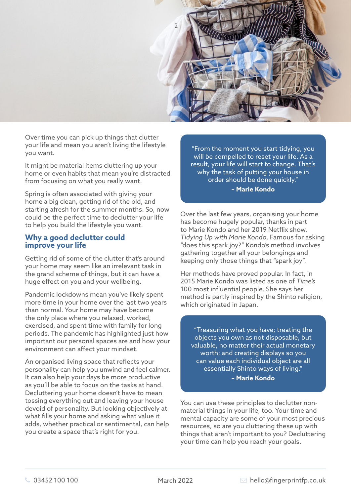

Over time you can pick up things that clutter your life and mean you aren't living the lifestyle you want.

It might be material items cluttering up your home or even habits that mean you're distracted from focusing on what you really want.

Spring is often associated with giving your home a big clean, getting rid of the old, and starting afresh for the summer months. So, now could be the perfect time to declutter your life to help you build the lifestyle you want.

## **Why a good declutter could improve your life**

Getting rid of some of the clutter that's around your home may seem like an irrelevant task in the grand scheme of things, but it can have a huge effect on you and your wellbeing.

Pandemic lockdowns mean you've likely spent more time in your home over the last two years than normal. Your home may have become the only place where you relaxed, worked, exercised, and spent time with family for long periods. The pandemic has highlighted just how important our personal spaces are and how your environment can affect your mindset.

An organised living space that reflects your personality can help you unwind and feel calmer. It can also help your days be more productive as you'll be able to focus on the tasks at hand. Decluttering your home doesn't have to mean tossing everything out and leaving your house devoid of personality. But looking objectively at what fills your home and asking what value it adds, whether practical or sentimental, can help you create a space that's right for you.

"From the moment you start tidying, you will be compelled to reset your life. As a result, your life will start to change. That's why the task of putting your house in order should be done quickly." **– Marie Kondo**

Over the last few years, organising your home has become hugely popular, thanks in part to Marie Kondo and her 2019 Netflix show, *Tidying Up with Marie Kondo*. Famous for asking "does this spark joy?" Kondo's method involves gathering together all your belongings and keeping only those things that "spark joy".

Her methods have proved popular. In fact, in 2015 Marie Kondo was listed as one of *Time's* 100 most influential people. She says her method is partly inspired by the Shinto religion, which originated in Japan.

"Treasuring what you have; treating the objects you own as not disposable, but valuable, no matter their actual monetary worth; and creating displays so you can value each individual object are all essentially Shinto ways of living." **– Marie Kondo**

You can use these principles to declutter nonmaterial things in your life, too. Your time and mental capacity are some of your most precious resources, so are you cluttering these up with things that aren't important to you? Decluttering your time can help you reach your goals.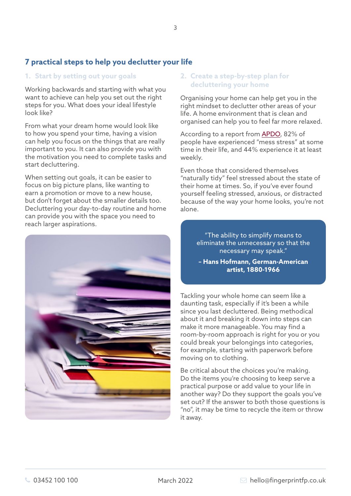# **7 practical steps to help you declutter your life**

### **1. Start by setting out your goals**

Working backwards and starting with what you want to achieve can help you set out the right steps for you. What does your ideal lifestyle look like?

From what your dream home would look like to how you spend your time, having a vision can help you focus on the things that are really important to you. It can also provide you with the motivation you need to complete tasks and start decluttering.

When setting out goals, it can be easier to focus on big picture plans, like wanting to earn a promotion or move to a new house, but don't forget about the smaller details too. Decluttering your day-to-day routine and home can provide you with the space you need to reach larger aspirations.



## **2. Create a step-by-step plan for decluttering your home**

Organising your home can help get you in the right mindset to declutter other areas of your life. A home environment that is clean and organised can help you to feel far more relaxed.

According to a report from [APDO,](https://www.apdo.co.uk/blog-messy-home-stressy-home-research/) 82% of people have experienced "mess stress" at some time in their life, and 44% experience it at least weekly.

Even those that considered themselves "naturally tidy" feel stressed about the state of their home at times. So, if you've ever found yourself feeling stressed, anxious, or distracted because of the way your home looks, you're not alone.

> "The ability to simplify means to eliminate the unnecessary so that the necessary may speak."

**– Hans Hofmann, German-American artist, 1880-1966** 

Tackling your whole home can seem like a daunting task, especially if it's been a while since you last decluttered. Being methodical about it and breaking it down into steps can make it more manageable. You may find a room-by-room approach is right for you or you could break your belongings into categories, for example, starting with paperwork before moving on to clothing.

Be critical about the choices you're making. Do the items you're choosing to keep serve a practical purpose or add value to your life in another way? Do they support the goals you've set out? If the answer to both those questions is "no", it may be time to recycle the item or throw it away.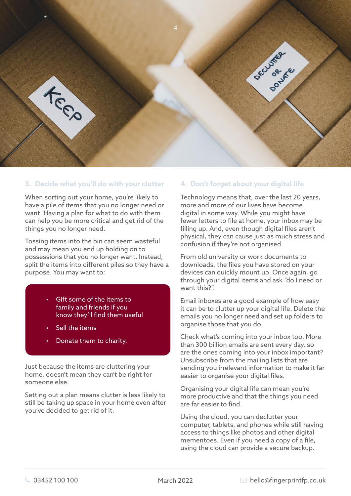

## **3. Decide what you'll do with your clutter**

When sorting out your home, you're likely to have a pile of items that you no longer need or want. Having a plan for what to do with them can help you be more critical and get rid of the things you no longer need.

Tossing items into the bin can seem wasteful and may mean you end up holding on to possessions that you no longer want. Instead, split the items into different piles so they have a purpose. You may want to:

- Gift some of the items to family and friends if you know they'll find them useful
- Sell the items
- Donate them to charity.

Just because the items are cluttering your home, doesn't mean they can't be right for someone else.

Setting out a plan means clutter is less likely to still be taking up space in your home even after you've decided to get rid of it.

## **4. Don't forget about your digital life**

Technology means that, over the last 20 years, more and more of our lives have become digital in some way. While you might have fewer letters to file at home, your inbox may be filling up. And, even though digital files aren't physical, they can cause just as much stress and confusion if they're not organised.

From old university or work documents to downloads, the files you have stored on your devices can quickly mount up. Once again, go through your digital items and ask "do I need or want this?".

Email inboxes are a good example of how easy it can be to clutter up your digital life. Delete the emails you no longer need and set up folders to organise those that you do.

Check what's coming into your inbox too. More than 300 billion emails are sent every day, so are the ones coming into your inbox important? Unsubscribe from the mailing lists that are sending you irrelevant information to make it far easier to organise your digital files.

Organising your digital life can mean you're more productive and that the things you need are far easier to find.

Using the cloud, you can declutter your computer, tablets, and phones while still having access to things like photos and other digital mementoes. Even if you need a copy of a file, using the cloud can provide a secure backup.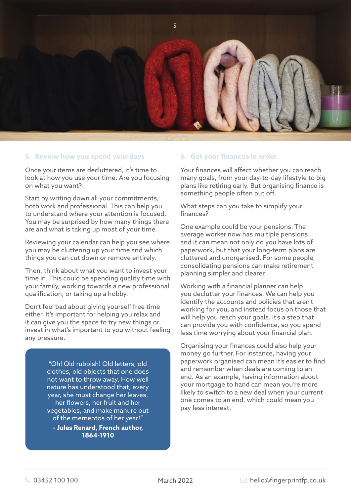

#### **5. Review how you spend your days**

Once your items are decluttered, it's time to look at how you use your time. Are you focusing on what you want?

Start by writing down all your commitments, both work and professional. This can help you to understand where your attention is focused. You may be surprised by how many things there are and what is taking up most of your time.

Reviewing your calendar can help you see where you may be cluttering up your time and which things you can cut down or remove entirely.

Then, think about what you want to invest your time in. This could be spending quality time with your family, working towards a new professional qualification, or taking up a hobby.

Don't feel bad about giving yourself free time either. It's important for helping you relax and it can give you the space to try new things or invest in what's important to you without feeling any pressure.

> "Oh! Old rubbish! Old letters, old clothes, old objects that one does not want to throw away. How well nature has understood that, every year, she must change her leaves, her flowers, her fruit and her vegetables, and make manure out of the mementos of her year!"

**– Jules Renard, French author, 1864-1910** 

#### **6. Get your finances in order**

Your finances will affect whether you can reach many goals, from your day-to-day lifestyle to big plans like retiring early. But organising finance is something people often put off.

What steps can you take to simplify your finances?

One example could be your pensions. The average worker now has multiple pensions and it can mean not only do you have lots of paperwork, but that your long-term plans are cluttered and unorganised. For some people, consolidating pensions can make retirement planning simpler and clearer.

Working with a financial planner can help you declutter your finances. We can help you identify the accounts and policies that aren't working for you, and instead focus on those that will help you reach your goals. It's a step that can provide you with confidence, so you spend less time worrying about your financial plan.

Organising your finances could also help your money go further. For instance, having your paperwork organised can mean it's easier to find and remember when deals are coming to an end. As an example, having information about your mortgage to hand can mean you're more likely to switch to a new deal when your current one comes to an end, which could mean you pay less interest.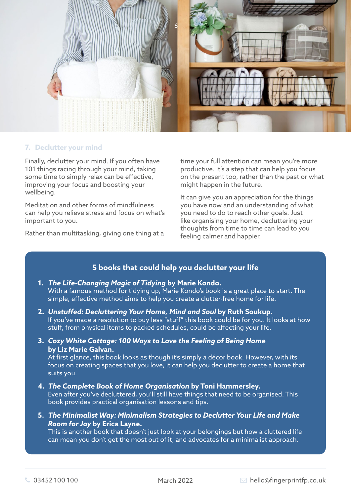

## **7. Declutter your mind**

Finally, declutter your mind. If you often have 101 things racing through your mind, taking some time to simply relax can be effective, improving your focus and boosting your wellbeing.

Meditation and other forms of mindfulness can help you relieve stress and focus on what's important to you.

Rather than multitasking, giving one thing at a

time your full attention can mean you're more productive. It's a step that can help you focus on the present too, rather than the past or what might happen in the future.

It can give you an appreciation for the things you have now and an understanding of what you need to do to reach other goals. Just like organising your home, decluttering your thoughts from time to time can lead to you feeling calmer and happier.

## **5 books that could help you declutter your life**

## **1.** *The Life-Changing Magic of Tidying* **by Marie Kondo.**  With a famous method for tidying up, Marie Kondo's book is a great place to start. The simple, effective method aims to help you create a clutter-free home for life.

- **2.** *Unstuffed: Decluttering Your Home, Mind and Soul* **by Ruth Soukup.**  If you've made a resolution to buy less "stuff" this book could be for you. It looks at how stuff, from physical items to packed schedules, could be affecting your life.
- **3.** *Cozy White Cottage: 100 Ways to Love the Feeling of Being Home* **by Liz Marie Galvan.**

At first glance, this book looks as though it's simply a décor book. However, with its focus on creating spaces that you love, it can help you declutter to create a home that suits you.

- **4.** *The Complete Book of Home Organisation* **by Toni Hammersley.**  Even after you've decluttered, you'll still have things that need to be organised. This book provides practical organisation lessons and tips.
- **5.** *The Minimalist Way: Minimalism Strategies to Declutter Your Life and Make Room for Joy* **by Erica Layne.**

This is another book that doesn't just look at your belongings but how a cluttered life can mean you don't get the most out of it, and advocates for a minimalist approach.